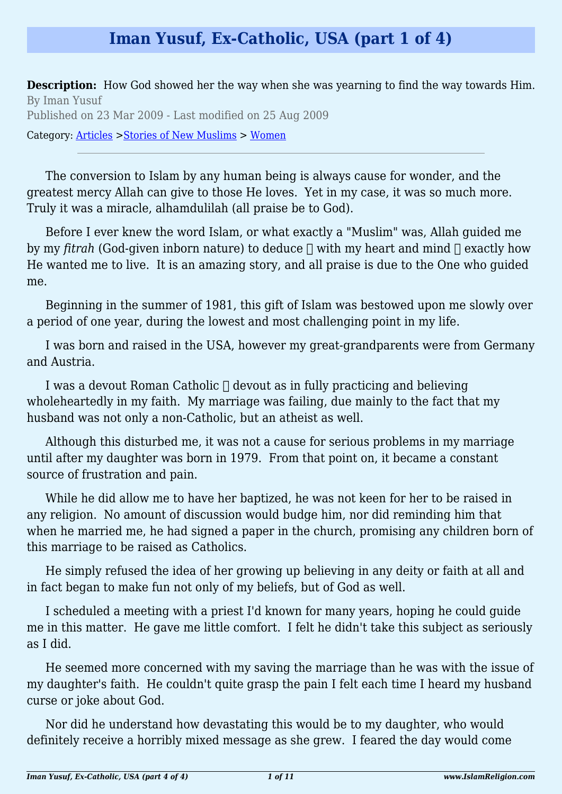## **Iman Yusuf, Ex-Catholic, USA (part 1 of 4)**

**Description:** How God showed her the way when she was yearning to find the way towards Him. By Iman Yusuf Published on 23 Mar 2009 - Last modified on 25 Aug 2009

Category: [Articles](http://www.islamreligion.com/articles/) >[Stories of New Muslims](http://www.islamreligion.com/category/63/) > [Women](http://www.islamreligion.com/category/65/)

The conversion to Islam by any human being is always cause for wonder, and the greatest mercy Allah can give to those He loves. Yet in my case, it was so much more. Truly it was a miracle, alhamdulilah (all praise be to God).

Before I ever knew the word Islam, or what exactly a "Muslim" was, Allah guided me by my *fitrah* (God-given inborn nature) to deduce  $\Box$  with my heart and mind  $\Box$  exactly how He wanted me to live. It is an amazing story, and all praise is due to the One who guided me.

Beginning in the summer of 1981, this gift of Islam was bestowed upon me slowly over a period of one year, during the lowest and most challenging point in my life.

I was born and raised in the USA, however my great-grandparents were from Germany and Austria.

I was a devout Roman Catholic  $\Box$  devout as in fully practicing and believing wholeheartedly in my faith. My marriage was failing, due mainly to the fact that my husband was not only a non-Catholic, but an atheist as well.

Although this disturbed me, it was not a cause for serious problems in my marriage until after my daughter was born in 1979. From that point on, it became a constant source of frustration and pain.

While he did allow me to have her baptized, he was not keen for her to be raised in any religion. No amount of discussion would budge him, nor did reminding him that when he married me, he had signed a paper in the church, promising any children born of this marriage to be raised as Catholics.

He simply refused the idea of her growing up believing in any deity or faith at all and in fact began to make fun not only of my beliefs, but of God as well.

I scheduled a meeting with a priest I'd known for many years, hoping he could guide me in this matter. He gave me little comfort. I felt he didn't take this subject as seriously as I did.

He seemed more concerned with my saving the marriage than he was with the issue of my daughter's faith. He couldn't quite grasp the pain I felt each time I heard my husband curse or joke about God.

Nor did he understand how devastating this would be to my daughter, who would definitely receive a horribly mixed message as she grew. I feared the day would come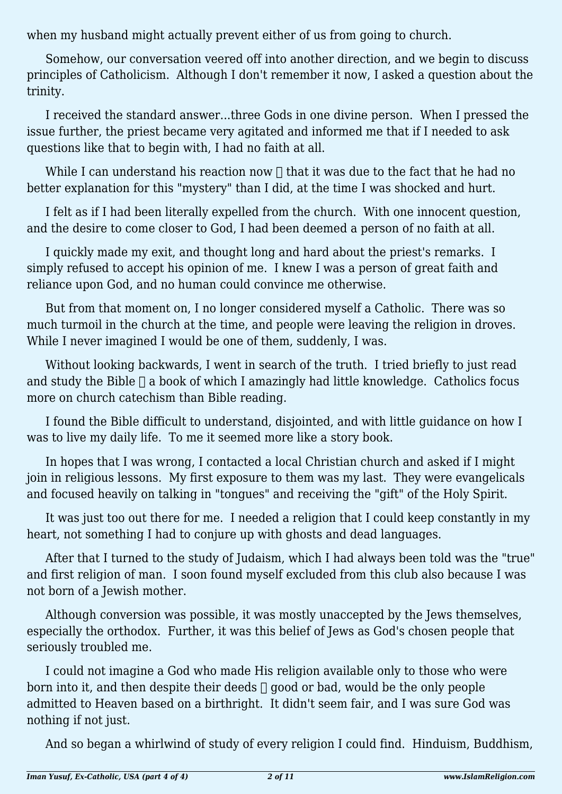when my husband might actually prevent either of us from going to church.

Somehow, our conversation veered off into another direction, and we begin to discuss principles of Catholicism. Although I don't remember it now, I asked a question about the trinity.

I received the standard answer...three Gods in one divine person. When I pressed the issue further, the priest became very agitated and informed me that if I needed to ask questions like that to begin with, I had no faith at all.

While I can understand his reaction now  $\Box$  that it was due to the fact that he had no better explanation for this "mystery" than I did, at the time I was shocked and hurt.

I felt as if I had been literally expelled from the church. With one innocent question, and the desire to come closer to God, I had been deemed a person of no faith at all.

I quickly made my exit, and thought long and hard about the priest's remarks. I simply refused to accept his opinion of me. I knew I was a person of great faith and reliance upon God, and no human could convince me otherwise.

But from that moment on, I no longer considered myself a Catholic. There was so much turmoil in the church at the time, and people were leaving the religion in droves. While I never imagined I would be one of them, suddenly, I was.

Without looking backwards, I went in search of the truth. I tried briefly to just read and study the Bible  $\Box$  a book of which I amazingly had little knowledge. Catholics focus more on church catechism than Bible reading.

I found the Bible difficult to understand, disjointed, and with little guidance on how I was to live my daily life. To me it seemed more like a story book.

In hopes that I was wrong, I contacted a local Christian church and asked if I might join in religious lessons. My first exposure to them was my last. They were evangelicals and focused heavily on talking in "tongues" and receiving the "gift" of the Holy Spirit.

It was just too out there for me. I needed a religion that I could keep constantly in my heart, not something I had to conjure up with ghosts and dead languages.

After that I turned to the study of Judaism, which I had always been told was the "true" and first religion of man. I soon found myself excluded from this club also because I was not born of a Jewish mother.

Although conversion was possible, it was mostly unaccepted by the Jews themselves, especially the orthodox. Further, it was this belief of Jews as God's chosen people that seriously troubled me.

I could not imagine a God who made His religion available only to those who were born into it, and then despite their deeds  $\Box$  good or bad, would be the only people admitted to Heaven based on a birthright. It didn't seem fair, and I was sure God was nothing if not just.

And so began a whirlwind of study of every religion I could find. Hinduism, Buddhism,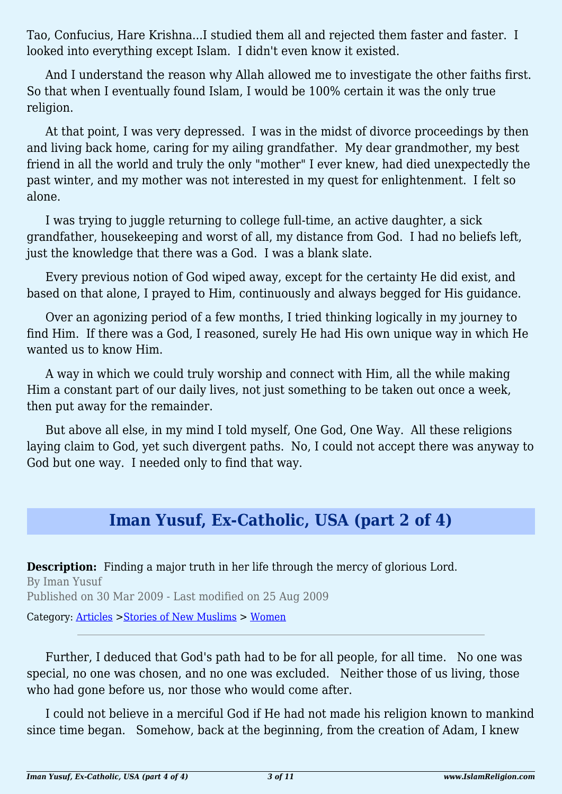Tao, Confucius, Hare Krishna...I studied them all and rejected them faster and faster. I looked into everything except Islam. I didn't even know it existed.

And I understand the reason why Allah allowed me to investigate the other faiths first. So that when I eventually found Islam, I would be 100% certain it was the only true religion.

At that point, I was very depressed. I was in the midst of divorce proceedings by then and living back home, caring for my ailing grandfather. My dear grandmother, my best friend in all the world and truly the only "mother" I ever knew, had died unexpectedly the past winter, and my mother was not interested in my quest for enlightenment. I felt so alone.

I was trying to juggle returning to college full-time, an active daughter, a sick grandfather, housekeeping and worst of all, my distance from God. I had no beliefs left, just the knowledge that there was a God. I was a blank slate.

Every previous notion of God wiped away, except for the certainty He did exist, and based on that alone, I prayed to Him, continuously and always begged for His guidance.

Over an agonizing period of a few months, I tried thinking logically in my journey to find Him. If there was a God, I reasoned, surely He had His own unique way in which He wanted us to know Him.

A way in which we could truly worship and connect with Him, all the while making Him a constant part of our daily lives, not just something to be taken out once a week, then put away for the remainder.

But above all else, in my mind I told myself, One God, One Way. All these religions laying claim to God, yet such divergent paths. No, I could not accept there was anyway to God but one way. I needed only to find that way.

## **Iman Yusuf, Ex-Catholic, USA (part 2 of 4)**

**Description:** Finding a major truth in her life through the mercy of glorious Lord. By Iman Yusuf Published on 30 Mar 2009 - Last modified on 25 Aug 2009 Category: [Articles](http://www.islamreligion.com/articles/) >[Stories of New Muslims](http://www.islamreligion.com/category/63/) > [Women](http://www.islamreligion.com/category/65/)

Further, I deduced that God's path had to be for all people, for all time. No one was special, no one was chosen, and no one was excluded. Neither those of us living, those who had gone before us, nor those who would come after.

I could not believe in a merciful God if He had not made his religion known to mankind since time began. Somehow, back at the beginning, from the creation of Adam, I knew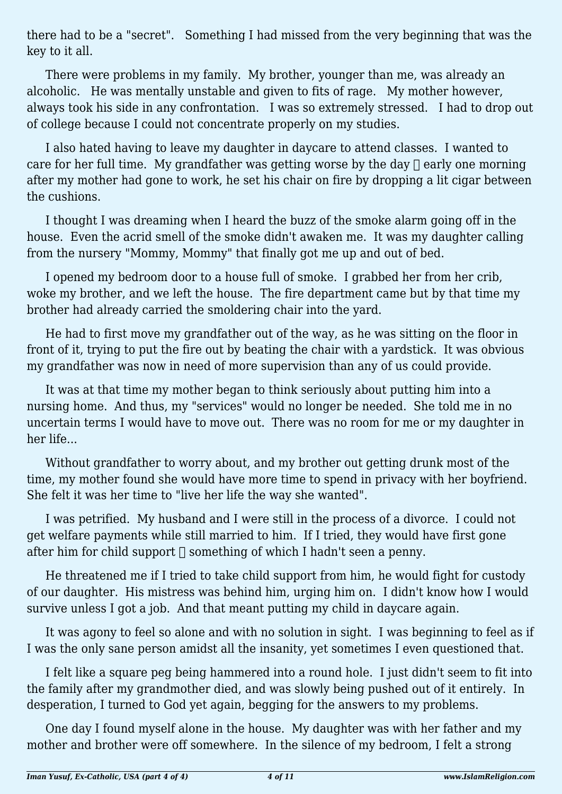there had to be a "secret". Something I had missed from the very beginning that was the key to it all.

There were problems in my family. My brother, younger than me, was already an alcoholic. He was mentally unstable and given to fits of rage. My mother however, always took his side in any confrontation. I was so extremely stressed. I had to drop out of college because I could not concentrate properly on my studies.

I also hated having to leave my daughter in daycare to attend classes. I wanted to care for her full time. My grandfather was getting worse by the day  $\Box$  early one morning after my mother had gone to work, he set his chair on fire by dropping a lit cigar between the cushions.

I thought I was dreaming when I heard the buzz of the smoke alarm going off in the house. Even the acrid smell of the smoke didn't awaken me. It was my daughter calling from the nursery "Mommy, Mommy" that finally got me up and out of bed.

I opened my bedroom door to a house full of smoke. I grabbed her from her crib, woke my brother, and we left the house. The fire department came but by that time my brother had already carried the smoldering chair into the yard.

He had to first move my grandfather out of the way, as he was sitting on the floor in front of it, trying to put the fire out by beating the chair with a yardstick. It was obvious my grandfather was now in need of more supervision than any of us could provide.

It was at that time my mother began to think seriously about putting him into a nursing home. And thus, my "services" would no longer be needed. She told me in no uncertain terms I would have to move out. There was no room for me or my daughter in her life...

Without grandfather to worry about, and my brother out getting drunk most of the time, my mother found she would have more time to spend in privacy with her boyfriend. She felt it was her time to "live her life the way she wanted".

I was petrified. My husband and I were still in the process of a divorce. I could not get welfare payments while still married to him. If I tried, they would have first gone after him for child support  $\Box$  something of which I hadn't seen a penny.

He threatened me if I tried to take child support from him, he would fight for custody of our daughter. His mistress was behind him, urging him on. I didn't know how I would survive unless I got a job. And that meant putting my child in daycare again.

It was agony to feel so alone and with no solution in sight. I was beginning to feel as if I was the only sane person amidst all the insanity, yet sometimes I even questioned that.

I felt like a square peg being hammered into a round hole. I just didn't seem to fit into the family after my grandmother died, and was slowly being pushed out of it entirely. In desperation, I turned to God yet again, begging for the answers to my problems.

One day I found myself alone in the house. My daughter was with her father and my mother and brother were off somewhere. In the silence of my bedroom, I felt a strong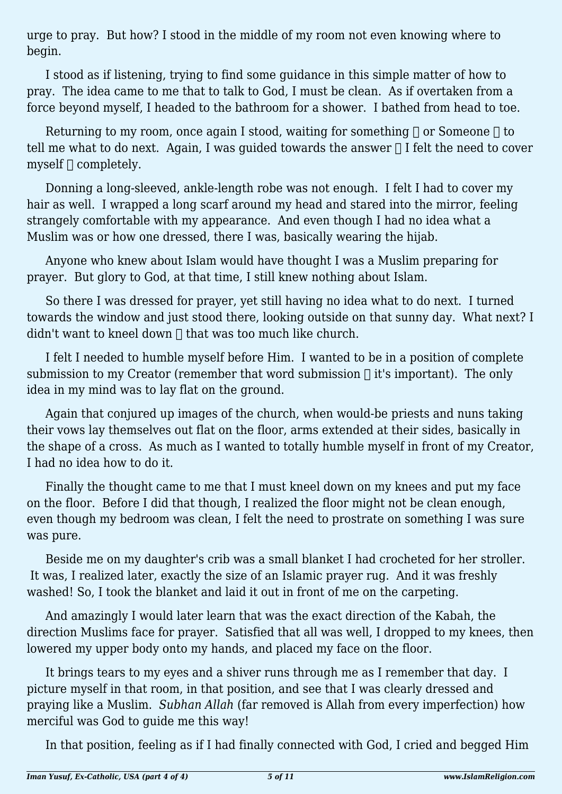urge to pray. But how? I stood in the middle of my room not even knowing where to begin.

I stood as if listening, trying to find some guidance in this simple matter of how to pray. The idea came to me that to talk to God, I must be clean. As if overtaken from a force beyond myself, I headed to the bathroom for a shower. I bathed from head to toe.

Returning to my room, once again I stood, waiting for something  $\Box$  or Someone  $\Box$  to tell me what to do next. Again, I was guided towards the answer  $\Box$  I felt the need to cover myself  $\sqcap$  completely.

Donning a long-sleeved, ankle-length robe was not enough. I felt I had to cover my hair as well. I wrapped a long scarf around my head and stared into the mirror, feeling strangely comfortable with my appearance. And even though I had no idea what a Muslim was or how one dressed, there I was, basically wearing the hijab.

Anyone who knew about Islam would have thought I was a Muslim preparing for prayer. But glory to God, at that time, I still knew nothing about Islam.

So there I was dressed for prayer, yet still having no idea what to do next. I turned towards the window and just stood there, looking outside on that sunny day. What next? I didn't want to kneel down  $\Box$  that was too much like church.

I felt I needed to humble myself before Him. I wanted to be in a position of complete submission to my Creator (remember that word submission  $\Box$  it's important). The only idea in my mind was to lay flat on the ground.

Again that conjured up images of the church, when would-be priests and nuns taking their vows lay themselves out flat on the floor, arms extended at their sides, basically in the shape of a cross. As much as I wanted to totally humble myself in front of my Creator, I had no idea how to do it.

Finally the thought came to me that I must kneel down on my knees and put my face on the floor. Before I did that though, I realized the floor might not be clean enough, even though my bedroom was clean, I felt the need to prostrate on something I was sure was pure.

Beside me on my daughter's crib was a small blanket I had crocheted for her stroller. It was, I realized later, exactly the size of an Islamic prayer rug. And it was freshly washed! So, I took the blanket and laid it out in front of me on the carpeting.

And amazingly I would later learn that was the exact direction of the Kabah, the direction Muslims face for prayer. Satisfied that all was well, I dropped to my knees, then lowered my upper body onto my hands, and placed my face on the floor.

It brings tears to my eyes and a shiver runs through me as I remember that day. I picture myself in that room, in that position, and see that I was clearly dressed and praying like a Muslim. *Subhan Allah* (far removed is Allah from every imperfection) how merciful was God to guide me this way!

In that position, feeling as if I had finally connected with God, I cried and begged Him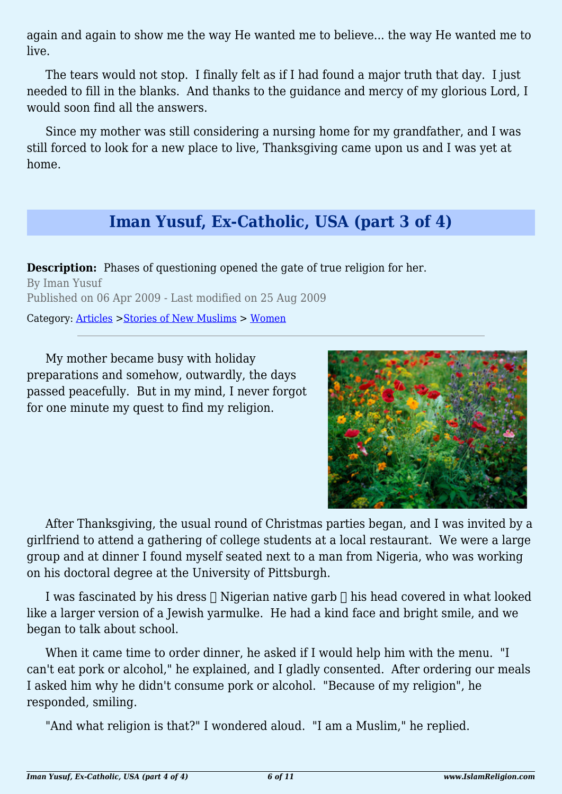again and again to show me the way He wanted me to believe... the way He wanted me to live.

The tears would not stop. I finally felt as if I had found a major truth that day. I just needed to fill in the blanks. And thanks to the guidance and mercy of my glorious Lord, I would soon find all the answers.

Since my mother was still considering a nursing home for my grandfather, and I was still forced to look for a new place to live, Thanksgiving came upon us and I was yet at home.

## **Iman Yusuf, Ex-Catholic, USA (part 3 of 4)**

**Description:** Phases of questioning opened the gate of true religion for her. By Iman Yusuf Published on 06 Apr 2009 - Last modified on 25 Aug 2009 Category: [Articles](http://www.islamreligion.com/articles/) >[Stories of New Muslims](http://www.islamreligion.com/category/63/) > [Women](http://www.islamreligion.com/category/65/)

My mother became busy with holiday preparations and somehow, outwardly, the days passed peacefully. But in my mind, I never forgot for one minute my quest to find my religion.



After Thanksgiving, the usual round of Christmas parties began, and I was invited by a girlfriend to attend a gathering of college students at a local restaurant. We were a large group and at dinner I found myself seated next to a man from Nigeria, who was working on his doctoral degree at the University of Pittsburgh.

I was fascinated by his dress  $\Box$  Nigerian native garb  $\Box$  his head covered in what looked like a larger version of a Jewish yarmulke. He had a kind face and bright smile, and we began to talk about school.

When it came time to order dinner, he asked if I would help him with the menu. "I can't eat pork or alcohol," he explained, and I gladly consented. After ordering our meals I asked him why he didn't consume pork or alcohol. "Because of my religion", he responded, smiling.

"And what religion is that?" I wondered aloud. "I am a Muslim," he replied.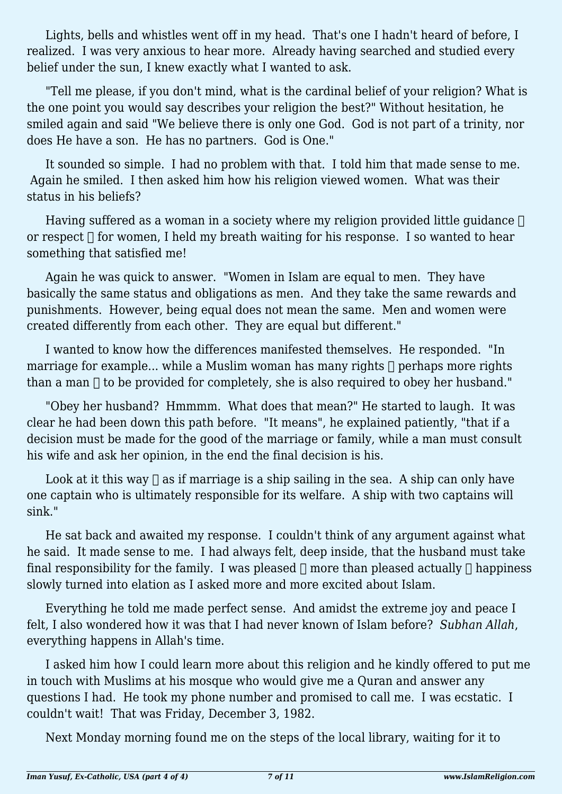Lights, bells and whistles went off in my head. That's one I hadn't heard of before, I realized. I was very anxious to hear more. Already having searched and studied every belief under the sun, I knew exactly what I wanted to ask.

"Tell me please, if you don't mind, what is the cardinal belief of your religion? What is the one point you would say describes your religion the best?" Without hesitation, he smiled again and said "We believe there is only one God. God is not part of a trinity, nor does He have a son. He has no partners. God is One."

It sounded so simple. I had no problem with that. I told him that made sense to me. Again he smiled. I then asked him how his religion viewed women. What was their status in his beliefs?

Having suffered as a woman in a society where my religion provided little guidance  $\Box$ or respect  $\Box$  for women, I held my breath waiting for his response. I so wanted to hear something that satisfied me!

Again he was quick to answer. "Women in Islam are equal to men. They have basically the same status and obligations as men. And they take the same rewards and punishments. However, being equal does not mean the same. Men and women were created differently from each other. They are equal but different."

I wanted to know how the differences manifested themselves. He responded. "In marriage for example... while a Muslim woman has many rights  $\Box$  perhaps more rights than a man  $\Box$  to be provided for completely, she is also required to obey her husband."

"Obey her husband? Hmmmm. What does that mean?" He started to laugh. It was clear he had been down this path before. "It means", he explained patiently, "that if a decision must be made for the good of the marriage or family, while a man must consult his wife and ask her opinion, in the end the final decision is his.

Look at it this way  $\Box$  as if marriage is a ship sailing in the sea. A ship can only have one captain who is ultimately responsible for its welfare. A ship with two captains will sink."

He sat back and awaited my response. I couldn't think of any argument against what he said. It made sense to me. I had always felt, deep inside, that the husband must take final responsibility for the family. I was pleased  $\Box$  more than pleased actually  $\Box$  happiness slowly turned into elation as I asked more and more excited about Islam.

Everything he told me made perfect sense. And amidst the extreme joy and peace I felt, I also wondered how it was that I had never known of Islam before? *Subhan Allah*, everything happens in Allah's time.

I asked him how I could learn more about this religion and he kindly offered to put me in touch with Muslims at his mosque who would give me a Quran and answer any questions I had. He took my phone number and promised to call me. I was ecstatic. I couldn't wait! That was Friday, December 3, 1982.

Next Monday morning found me on the steps of the local library, waiting for it to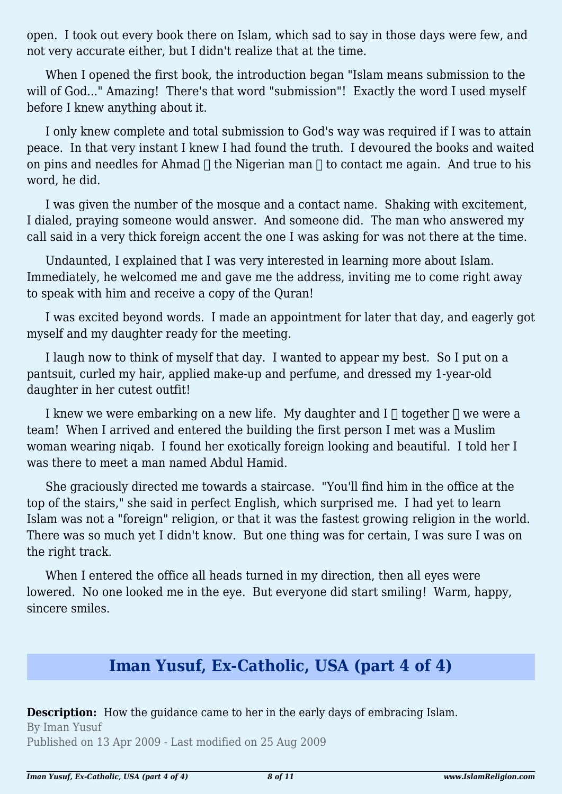open. I took out every book there on Islam, which sad to say in those days were few, and not very accurate either, but I didn't realize that at the time.

When I opened the first book, the introduction began "Islam means submission to the will of God..." Amazing! There's that word "submission"! Exactly the word I used myself before I knew anything about it.

I only knew complete and total submission to God's way was required if I was to attain peace. In that very instant I knew I had found the truth. I devoured the books and waited on pins and needles for Ahmad  $\Box$  the Nigerian man  $\Box$  to contact me again. And true to his word, he did.

I was given the number of the mosque and a contact name. Shaking with excitement, I dialed, praying someone would answer. And someone did. The man who answered my call said in a very thick foreign accent the one I was asking for was not there at the time.

Undaunted, I explained that I was very interested in learning more about Islam. Immediately, he welcomed me and gave me the address, inviting me to come right away to speak with him and receive a copy of the Quran!

I was excited beyond words. I made an appointment for later that day, and eagerly got myself and my daughter ready for the meeting.

I laugh now to think of myself that day. I wanted to appear my best. So I put on a pantsuit, curled my hair, applied make-up and perfume, and dressed my 1-year-old daughter in her cutest outfit!

I knew we were embarking on a new life. My daughter and  $I \cap$  together  $\cap$  we were a team! When I arrived and entered the building the first person I met was a Muslim woman wearing niqab. I found her exotically foreign looking and beautiful. I told her I was there to meet a man named Abdul Hamid.

She graciously directed me towards a staircase. "You'll find him in the office at the top of the stairs," she said in perfect English, which surprised me. I had yet to learn Islam was not a "foreign" religion, or that it was the fastest growing religion in the world. There was so much yet I didn't know. But one thing was for certain, I was sure I was on the right track.

When I entered the office all heads turned in my direction, then all eyes were lowered. No one looked me in the eye. But everyone did start smiling! Warm, happy, sincere smiles.

## **Iman Yusuf, Ex-Catholic, USA (part 4 of 4)**

**Description:** How the guidance came to her in the early days of embracing Islam. By Iman Yusuf Published on 13 Apr 2009 - Last modified on 25 Aug 2009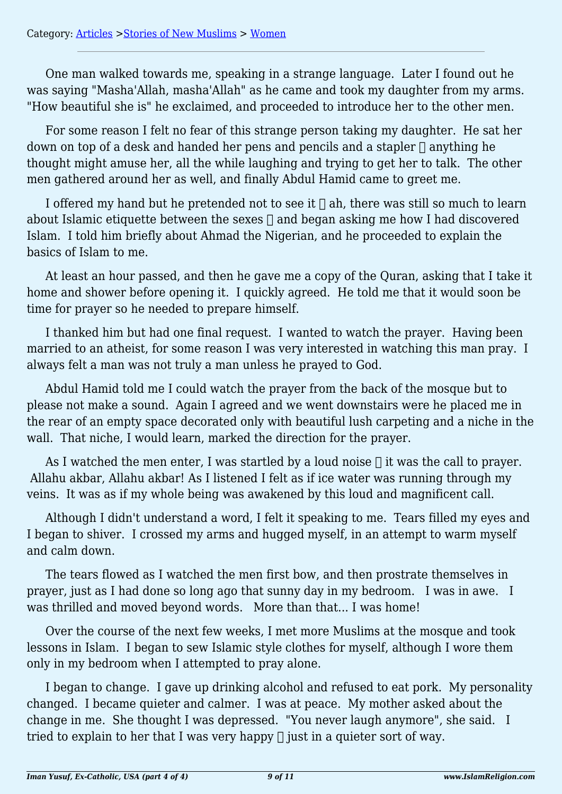One man walked towards me, speaking in a strange language. Later I found out he was saying "Masha'Allah, masha'Allah" as he came and took my daughter from my arms. "How beautiful she is" he exclaimed, and proceeded to introduce her to the other men.

For some reason I felt no fear of this strange person taking my daughter. He sat her down on top of a desk and handed her pens and pencils and a stapler  $\bigcap$  anything he thought might amuse her, all the while laughing and trying to get her to talk. The other men gathered around her as well, and finally Abdul Hamid came to greet me.

I offered my hand but he pretended not to see it  $\Box$  ah, there was still so much to learn about Islamic etiquette between the sexes  $\Box$  and began asking me how I had discovered Islam. I told him briefly about Ahmad the Nigerian, and he proceeded to explain the basics of Islam to me.

At least an hour passed, and then he gave me a copy of the Quran, asking that I take it home and shower before opening it. I quickly agreed. He told me that it would soon be time for prayer so he needed to prepare himself.

I thanked him but had one final request. I wanted to watch the prayer. Having been married to an atheist, for some reason I was very interested in watching this man pray. I always felt a man was not truly a man unless he prayed to God.

Abdul Hamid told me I could watch the prayer from the back of the mosque but to please not make a sound. Again I agreed and we went downstairs were he placed me in the rear of an empty space decorated only with beautiful lush carpeting and a niche in the wall. That niche, I would learn, marked the direction for the prayer.

As I watched the men enter, I was startled by a loud noise  $\Box$  it was the call to prayer. Allahu akbar, Allahu akbar! As I listened I felt as if ice water was running through my veins. It was as if my whole being was awakened by this loud and magnificent call.

Although I didn't understand a word, I felt it speaking to me. Tears filled my eyes and I began to shiver. I crossed my arms and hugged myself, in an attempt to warm myself and calm down.

The tears flowed as I watched the men first bow, and then prostrate themselves in prayer, just as I had done so long ago that sunny day in my bedroom. I was in awe. I was thrilled and moved beyond words. More than that... I was home!

Over the course of the next few weeks, I met more Muslims at the mosque and took lessons in Islam. I began to sew Islamic style clothes for myself, although I wore them only in my bedroom when I attempted to pray alone.

I began to change. I gave up drinking alcohol and refused to eat pork. My personality changed. I became quieter and calmer. I was at peace. My mother asked about the change in me. She thought I was depressed. "You never laugh anymore", she said. I tried to explain to her that I was very happy  $\eta$  just in a quieter sort of way.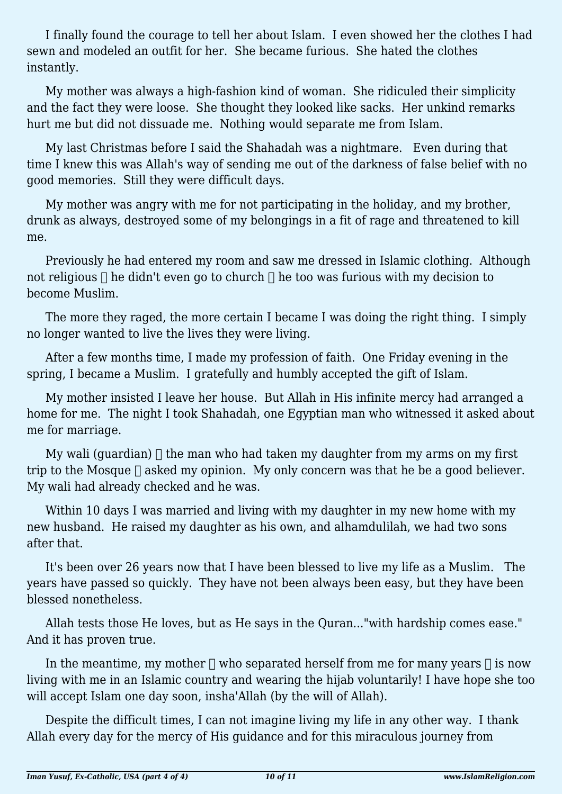I finally found the courage to tell her about Islam. I even showed her the clothes I had sewn and modeled an outfit for her. She became furious. She hated the clothes instantly.

My mother was always a high-fashion kind of woman. She ridiculed their simplicity and the fact they were loose. She thought they looked like sacks. Her unkind remarks hurt me but did not dissuade me. Nothing would separate me from Islam.

My last Christmas before I said the Shahadah was a nightmare. Even during that time I knew this was Allah's way of sending me out of the darkness of false belief with no good memories. Still they were difficult days.

My mother was angry with me for not participating in the holiday, and my brother, drunk as always, destroyed some of my belongings in a fit of rage and threatened to kill me.

Previously he had entered my room and saw me dressed in Islamic clothing. Although not religious  $\Box$  he didn't even go to church  $\Box$  he too was furious with my decision to become Muslim.

The more they raged, the more certain I became I was doing the right thing. I simply no longer wanted to live the lives they were living.

After a few months time, I made my profession of faith. One Friday evening in the spring, I became a Muslim. I gratefully and humbly accepted the gift of Islam.

My mother insisted I leave her house. But Allah in His infinite mercy had arranged a home for me. The night I took Shahadah, one Egyptian man who witnessed it asked about me for marriage.

My wali (guardian)  $\Box$  the man who had taken my daughter from my arms on my first trip to the Mosque  $\Box$  asked my opinion. My only concern was that he be a good believer. My wali had already checked and he was.

Within 10 days I was married and living with my daughter in my new home with my new husband. He raised my daughter as his own, and alhamdulilah, we had two sons after that.

It's been over 26 years now that I have been blessed to live my life as a Muslim. The years have passed so quickly. They have not been always been easy, but they have been blessed nonetheless.

Allah tests those He loves, but as He says in the Quran..."with hardship comes ease." And it has proven true.

In the meantime, my mother  $\Box$  who separated herself from me for many years  $\Box$  is now living with me in an Islamic country and wearing the hijab voluntarily! I have hope she too will accept Islam one day soon, insha'Allah (by the will of Allah).

Despite the difficult times, I can not imagine living my life in any other way. I thank Allah every day for the mercy of His guidance and for this miraculous journey from